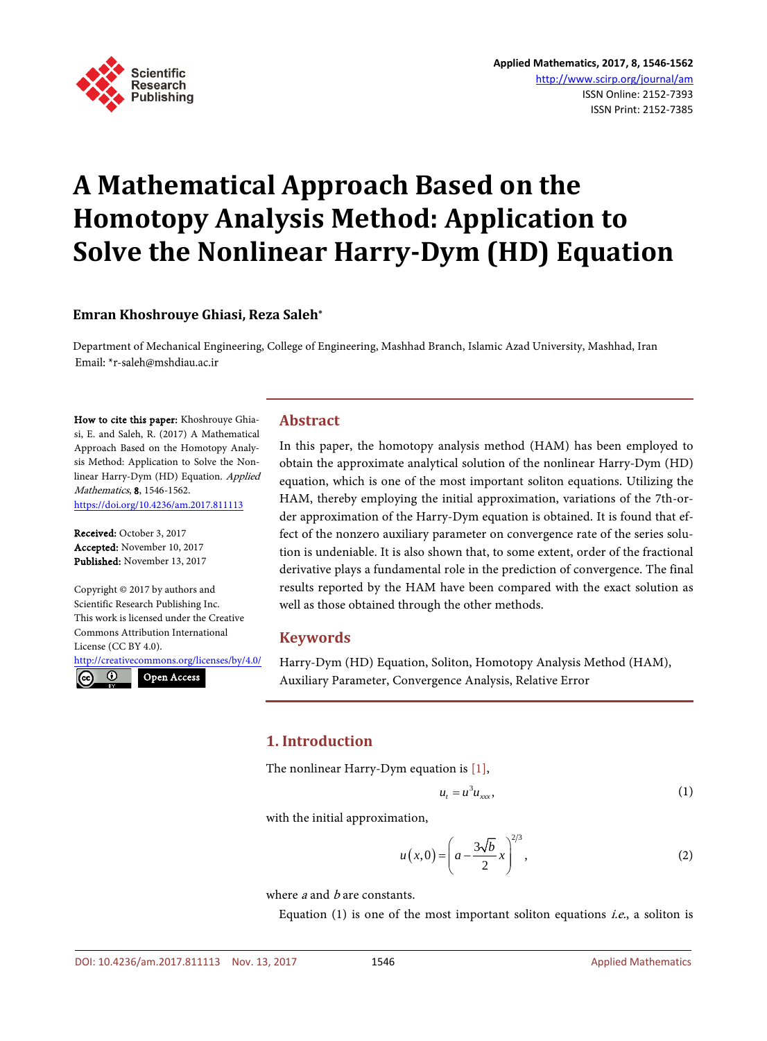

# **A Mathematical Approach Based on the Homotopy Analysis Method: Application to Solve the Nonlinear Harry-Dym (HD) Equation**

## **Emran Khoshrouye Ghiasi, Reza Saleh\***

Department of Mechanical Engineering, College of Engineering, Mashhad Branch, Islamic Azad University, Mashhad, Iran Email: \*r-saleh@mshdiau.ac.ir

How to cite this paper: Khoshrouye Ghiasi, E. and Saleh, R. (2017) A Mathematical Approach Based on the Homotopy Analysis Method: Application to Solve the Nonlinear Harry-Dym (HD) Equation. Applied Mathematics, 8, 1546-1562. <https://doi.org/10.4236/am.2017.811113>

Received: October 3, 2017 Accepted: November 10, 2017 Published: November 13, 2017

 $\odot$ 

 $(cc)$ 

Copyright © 2017 by authors and Scientific Research Publishing Inc. This work is licensed under the Creative Commons Attribution International License (CC BY 4.0).

<http://creativecommons.org/licenses/by/4.0/> Open Access

**Abstract**

In this paper, the homotopy analysis method (HAM) has been employed to obtain the approximate analytical solution of the nonlinear Harry-Dym (HD) equation, which is one of the most important soliton equations. Utilizing the HAM, thereby employing the initial approximation, variations of the 7th-order approximation of the Harry-Dym equation is obtained. It is found that effect of the nonzero auxiliary parameter on convergence rate of the series solution is undeniable. It is also shown that, to some extent, order of the fractional derivative plays a fundamental role in the prediction of convergence. The final results reported by the HAM have been compared with the exact solution as well as those obtained through the other methods.

# **Keywords**

Harry-Dym (HD) Equation, Soliton, Homotopy Analysis Method (HAM), Auxiliary Parameter, Convergence Analysis, Relative Error

# **1. Introduction**

The nonlinear Harry-Dym equation is [\[1\],](#page-10-0)

$$
u_t = u^3 u_{xxx}, \tag{1}
$$

with the initial approximation,

$$
u(x,0) = \left(a - \frac{3\sqrt{b}}{2}x\right)^{2/3},
$$
 (2)

where  $a$  and  $b$  are constants.

Equation  $(1)$  is one of the most important soliton equations *i.e.*, a soliton is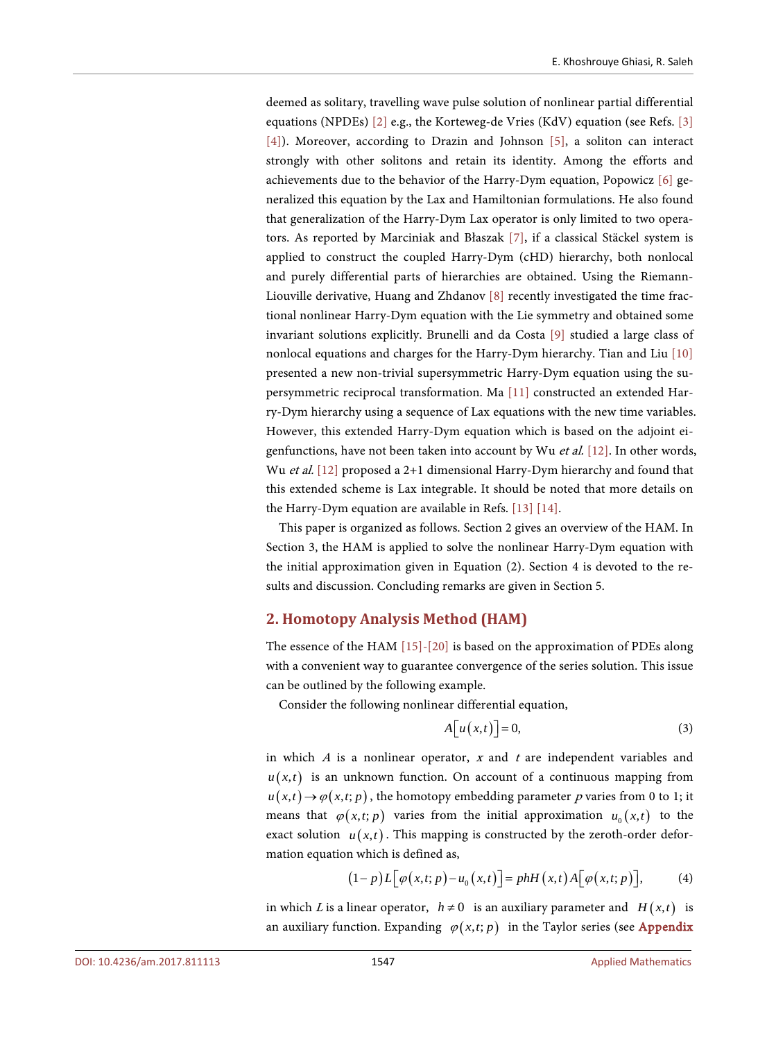deemed as solitary, travelling wave pulse solution of nonlinear partial differential equations (NPDEs) [\[2\]](#page-10-1) e.g., the Korteweg-de Vries (KdV) equation (see Refs. [\[3\]](#page-10-2) [\[4\]\)](#page-10-3). Moreover, according to Drazin and Johnson [\[5\],](#page-10-4) a soliton can interact strongly with other solitons and retain its identity. Among the efforts and achievements due to the behavior of the Harry-Dym equation, Popowicz [\[6\]](#page-10-5) generalized this equation by the Lax and Hamiltonian formulations. He also found that generalization of the Harry-Dym Lax operator is only limited to two operators. As reported by Marciniak and Błaszak [\[7\],](#page-10-6) if a classical Stäckel system is applied to construct the coupled Harry-Dym (cHD) hierarchy, both nonlocal and purely differential parts of hierarchies are obtained. Using the Riemann-Liouville derivative, Huang and Zhdanov [\[8\]](#page-11-0) recently investigated the time fractional nonlinear Harry-Dym equation with the Lie symmetry and obtained some invariant solutions explicitly. Brunelli and da Costa [\[9\]](#page-11-1) studied a large class of nonlocal equations and charges for the Harry-Dym hierarchy. Tian and Liu [\[10\]](#page-11-2) presented a new non-trivial supersymmetric Harry-Dym equation using the supersymmetric reciprocal transformation. Ma [\[11\]](#page-11-3) constructed an extended Harry-Dym hierarchy using a sequence of Lax equations with the new time variables. However, this extended Harry-Dym equation which is based on the adjoint eigenfunctions, have not been taken into account by Wu et al. [\[12\].](#page-11-4) In other words, Wu et al. [\[12\]](#page-11-4) proposed a 2+1 dimensional Harry-Dym hierarchy and found that this extended scheme is Lax integrable. It should be noted that more details on the Harry-Dym equation are available in Refs. [\[13\]](#page-11-5) [\[14\].](#page-11-6)

This paper is organized as follows. Section 2 gives an overview of the HAM. In Section 3, the HAM is applied to solve the nonlinear Harry-Dym equation with the initial approximation given in Equation (2). Section 4 is devoted to the results and discussion. Concluding remarks are given in Section 5.

#### **2. Homotopy Analysis Method (HAM)**

The essence of the HAM [\[15\]-](#page-11-7)[\[20\]](#page-11-8) is based on the approximation of PDEs along with a convenient way to guarantee convergence of the series solution. This issue can be outlined by the following example.

Consider the following nonlinear differential equation,

$$
A[u(x,t)] = 0,\t(3)
$$

in which  $A$  is a nonlinear operator,  $x$  and  $t$  are independent variables and  $u(x,t)$  is an unknown function. On account of a continuous mapping from  $u(x,t) \rightarrow \varphi(x,t; p)$ , the homotopy embedding parameter p varies from 0 to 1; it means that  $\varphi(x,t; p)$  varies from the initial approximation  $u_0(x,t)$  to the exact solution  $u(x,t)$ . This mapping is constructed by the zeroth-order deformation equation which is defined as,

$$
(1-p)L[\varphi(x,t;p)-u_0(x,t)]=phH(x,t)A[\varphi(x,t;p)],\qquad(4)
$$

in which L is a linear operator,  $h \neq 0$  is an auxiliary parameter and  $H(x,t)$  is an auxiliary function. Expanding  $\varphi(x,t; p)$  in the Taylor series (see **Appendix**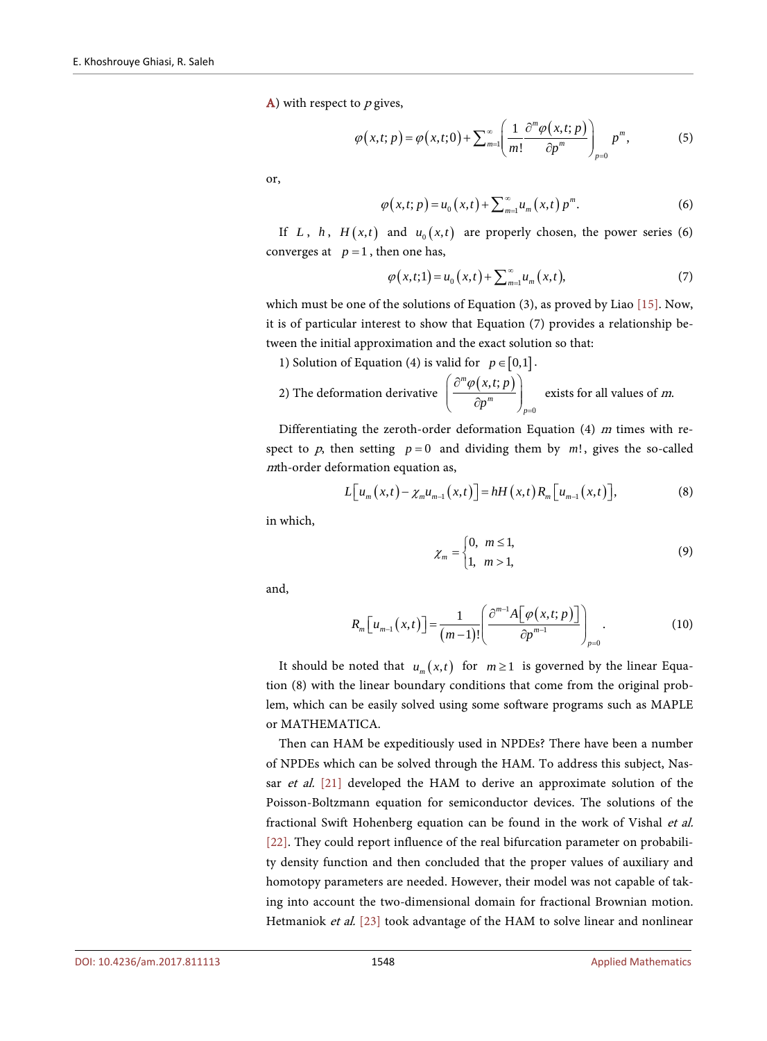$A$ ) with respect to  $p$  gives,

$$
\varphi(x,t;p) = \varphi(x,t;0) + \sum_{m=1}^{\infty} \left( \frac{1}{m!} \frac{\partial^m \varphi(x,t;p)}{\partial p^m} \right)_{p=0} p^m,
$$
 (5)

or,

$$
\varphi(x,t;p) = u_0(x,t) + \sum_{m=1}^{\infty} u_m(x,t) p^m.
$$
 (6)

If *L*, *h*,  $H(x,t)$  and  $u_0(x,t)$  are properly chosen, the power series (6) converges at  $p=1$ , then one has,

$$
\varphi(x,t;1) = u_0(x,t) + \sum_{m=1}^{\infty} u_m(x,t),
$$
\n(7)

which must be one of the solutions of Equation (3), as proved by Liao [\[15\].](#page-11-7) Now, it is of particular interest to show that Equation (7) provides a relationship between the initial approximation and the exact solution so that:

1) Solution of Equation (4) is valid for  $p \in [0,1]$ .

2) The deformation derivative 
$$
\left( \frac{\partial^m \varphi(x,t;p)}{\partial p^m} \right)_{p=0}
$$
 exists for all values of *m*.

Differentiating the zeroth-order deformation Equation  $(4)$  m times with respect to p, then setting  $p = 0$  and dividing them by  $m!$ , gives the so-called <sup>m</sup>th-order deformation equation as,

$$
L[u_m(x,t)-\chi_mu_{m-1}(x,t)]=hH(x,t)R_m[u_{m-1}(x,t)],
$$
\n(8)

in which,

$$
\chi_m = \begin{cases} 0, & m \le 1, \\ 1, & m > 1, \end{cases} \tag{9}
$$

and,

$$
R_m\left[u_{m-1}\left(x,t\right)\right] = \frac{1}{(m-1)!} \left(\frac{\partial^{m-1}A\left[\varphi\left(x,t;p\right)\right]}{\partial p^{m-1}}\right)_{p=0}.\tag{10}
$$

It should be noted that  $u_m(x,t)$  for  $m \ge 1$  is governed by the linear Equation (8) with the linear boundary conditions that come from the original problem, which can be easily solved using some software programs such as MAPLE or MATHEMATICA.

Then can HAM be expeditiously used in NPDEs? There have been a number of NPDEs which can be solved through the HAM. To address this subject, Nas-sar et al. [\[21\]](#page-11-9) developed the HAM to derive an approximate solution of the Poisson-Boltzmann equation for semiconductor devices. The solutions of the fractional Swift Hohenberg equation can be found in the work of Vishal et al. [\[22\].](#page-11-10) They could report influence of the real bifurcation parameter on probability density function and then concluded that the proper values of auxiliary and homotopy parameters are needed. However, their model was not capable of taking into account the two-dimensional domain for fractional Brownian motion. Hetmaniok et al. [\[23\]](#page-11-11) took advantage of the HAM to solve linear and nonlinear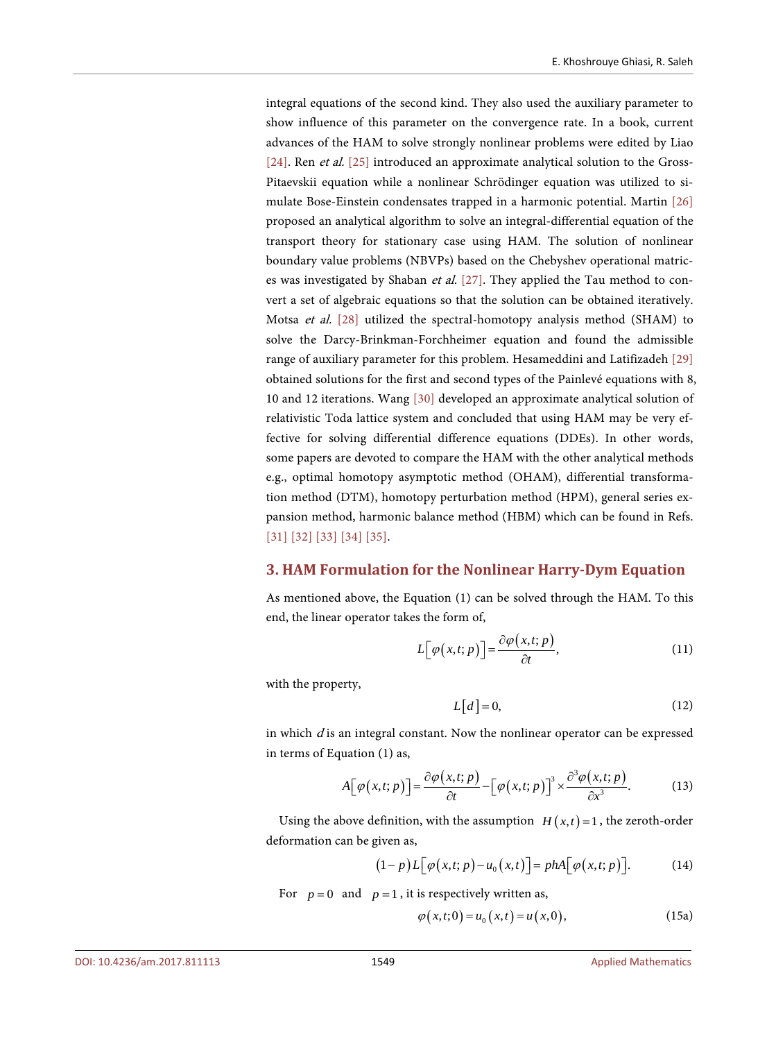integral equations of the second kind. They also used the auxiliary parameter to show influence of this parameter on the convergence rate. In a book, current advances of the HAM to solve strongly nonlinear problems were edited by Liao [\[24\].](#page-12-0) Ren et al. [\[25\]](#page-12-1) introduced an approximate analytical solution to the Gross-Pitaevskii equation while a nonlinear Schrödinger equation was utilized to simulate Bose-Einstein condensates trapped in a harmonic potential. Martin [\[26\]](#page-12-2) proposed an analytical algorithm to solve an integral-differential equation of the transport theory for stationary case using HAM. The solution of nonlinear boundary value problems (NBVPs) based on the Chebyshev operational matrices was investigated by Shaban et al. [\[27\].](#page-12-3) They applied the Tau method to convert a set of algebraic equations so that the solution can be obtained iteratively. Motsa et al. [\[28\]](#page-12-4) utilized the spectral-homotopy analysis method (SHAM) to solve the Darcy-Brinkman-Forchheimer equation and found the admissible range of auxiliary parameter for this problem. Hesameddini and Latifizadeh [\[29\]](#page-12-5) obtained solutions for the first and second types of the Painlevé equations with 8, 10 and 12 iterations. Wang [\[30\]](#page-12-6) developed an approximate analytical solution of relativistic Toda lattice system and concluded that using HAM may be very effective for solving differential difference equations (DDEs). In other words, some papers are devoted to compare the HAM with the other analytical methods e.g., optimal homotopy asymptotic method (OHAM), differential transformation method (DTM), homotopy perturbation method (HPM), general series expansion method, harmonic balance method (HBM) which can be found in Refs. [\[31\]](#page-12-7) [\[32\]](#page-12-8) [\[33\]](#page-12-9) [\[34\]](#page-12-10) [\[35\].](#page-12-11)

## **3. HAM Formulation for the Nonlinear Harry-Dym Equation**

As mentioned above, the Equation (1) can be solved through the HAM. To this end, the linear operator takes the form of,

$$
L\big[\varphi(x,t;p)\big]=\frac{\partial\varphi(x,t;p)}{\partial t},\qquad(11)
$$

with the property,

$$
L[d] = 0,\t(12)
$$

in which  $d$  is an integral constant. Now the nonlinear operator can be expressed in terms of Equation (1) as,

$$
A[\varphi(x,t;p)] = \frac{\partial \varphi(x,t;p)}{\partial t} - [\varphi(x,t;p)]^3 \times \frac{\partial^3 \varphi(x,t;p)}{\partial x^3}.
$$
 (13)

Using the above definition, with the assumption  $H(x,t) = 1$ , the zeroth-order deformation can be given as,

$$
(1-p)L[\varphi(x,t;p)-u_0(x,t)]=phA[\varphi(x,t;p)].
$$
 (14)

For  $p = 0$  and  $p = 1$ , it is respectively written as,

$$
\varphi(x,t;0) = u_0(x,t) = u(x,0),
$$
\n(15a)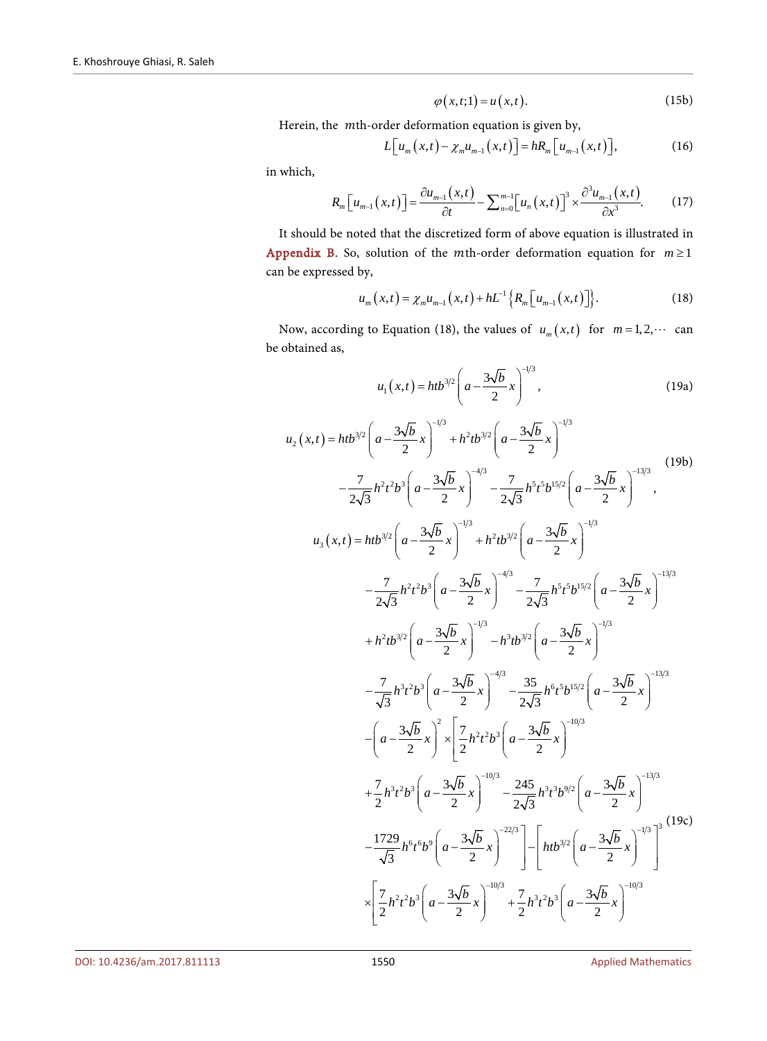$$
\varphi(x,t;1) = u(x,t). \tag{15b}
$$

Herein, the mth-order deformation equation is given by,

$$
L[u_m(x,t) - \chi_m u_{m-1}(x,t)] = hR_m[u_{m-1}(x,t)], \qquad (16)
$$

in which,

$$
R_m\left[u_{m-1}\left(x,t\right)\right]=\frac{\partial u_{m-1}\left(x,t\right)}{\partial t}-\sum_{n=0}^{m-1}\left[u_n\left(x,t\right)\right]^3\times\frac{\partial^3 u_{m-1}\left(x,t\right)}{\partial x^3}.\tag{17}
$$

It should be noted that the discretized form of above equation is illustrated in [Appendix B.](#page-15-1) So, solution of the *m*th-order deformation equation for  $m \ge 1$ can be expressed by,

$$
u_m(x,t) = \chi_m u_{m-1}(x,t) + hL^{-1}\Big\{R_m\Big[u_{m-1}(x,t)\Big]\Big\}.
$$
 (18)

Now, according to Equation (18), the values of  $u_m(x,t)$  for  $m=1,2,\cdots$  can be obtained as,

$$
u_1(x,t) = htb^{3/2} \left( a - \frac{3\sqrt{b}}{2} x \right)^{-1/3},
$$
 (19a)

$$
u_{2}(x,t) = htb^{3/2} \left( a - \frac{3\sqrt{b}}{2} x \right)^{-1/3} + h^{2}tb^{3/2} \left( a - \frac{3\sqrt{b}}{2} x \right)^{-1/3}
$$
\n
$$
- \frac{7}{2\sqrt{3}} h^{2}t^{2}b^{3} \left( a - \frac{3\sqrt{b}}{2} x \right)^{-4/3} - \frac{7}{2\sqrt{3}} h^{5}t^{5/2} \left( a - \frac{3\sqrt{b}}{2} x \right)^{-1/3}
$$
\n
$$
u_{3}(x,t) = htb^{3/2} \left( a - \frac{3\sqrt{b}}{2} x \right)^{-1/3} + h^{2}tb^{3/2} \left( a - \frac{3\sqrt{b}}{2} x \right)^{-1/3}
$$
\n
$$
- \frac{7}{2\sqrt{3}} h^{2}t^{2}b^{3} \left( a - \frac{3\sqrt{b}}{2} x \right)^{-4/3} - \frac{7}{2\sqrt{3}} h^{5}t^{5}b^{15/2} \left( a - \frac{3\sqrt{b}}{2} x \right)^{-1/3}
$$
\n
$$
+ h^{2}tb^{3/2} \left( a - \frac{3\sqrt{b}}{2} x \right)^{-1/3} - h^{3}tb^{3/2} \left( a - \frac{3\sqrt{b}}{2} x \right)^{-1/3}
$$
\n
$$
- \frac{7}{\sqrt{3}} h^{3}t^{2}b^{3} \left( a - \frac{3\sqrt{b}}{2} x \right)^{-4/3} - \frac{35}{2\sqrt{3}} h^{6}t^{5}b^{15/2} \left( a - \frac{3\sqrt{b}}{2} x \right)^{-1/3}
$$
\n
$$
- \left( a - \frac{3\sqrt{b}}{2} x \right)^{2} \times \left[ \frac{7}{2}h^{2}t^{2}b^{3} \left( a - \frac{3\sqrt{b}}{2} x \right)^{-1/3} - \frac{245}{2\sqrt{3}} h^{3}t^{3}b^{9/2} \left( a - \frac{3\sqrt{b}}{2} x \right)^{-1/3}
$$
\n
$$
+ \frac{7}{2}h^{3}t^{2}b^{3} \left( a - \frac{3\sqrt{b
$$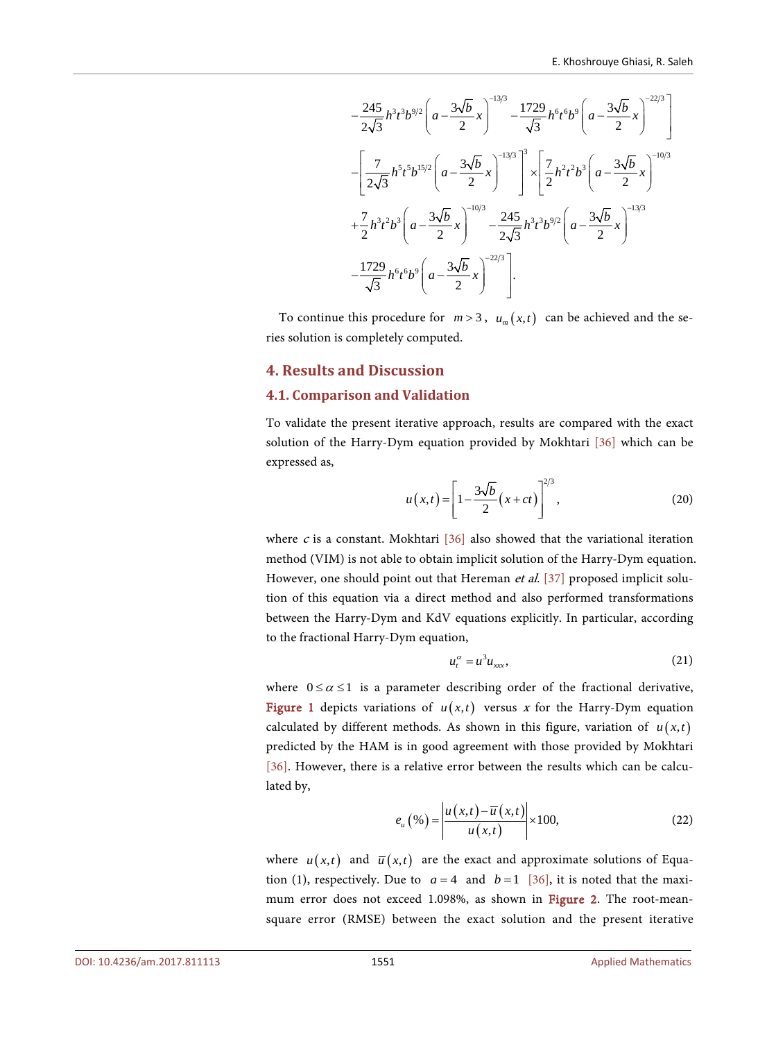$$
-\frac{245}{2\sqrt{3}}h^3t^3b^{9/2}\left(a-\frac{3\sqrt{b}}{2}x\right)^{-13/3} - \frac{1729}{\sqrt{3}}h^6t^6b^9\left(a-\frac{3\sqrt{b}}{2}x\right)^{-22/3}
$$

$$
-\left[\frac{7}{2\sqrt{3}}h^5t^5b^{15/2}\left(a-\frac{3\sqrt{b}}{2}x\right)^{-13/3}\right]^3 \times \left[\frac{7}{2}h^2t^2b^3\left(a-\frac{3\sqrt{b}}{2}x\right)^{-10/3} + \frac{7}{2}h^3t^2b^3\left(a-\frac{3\sqrt{b}}{2}x\right)^{-10/3} - \frac{245}{2\sqrt{3}}h^3t^3b^{9/2}\left(a-\frac{3\sqrt{b}}{2}x\right)^{-13/3}
$$

$$
-\frac{1729}{\sqrt{3}}h^6t^6b^9\left(a-\frac{3\sqrt{b}}{2}x\right)^{-22/3}.
$$

To continue this procedure for  $m > 3$ ,  $u_m(x,t)$  can be achieved and the series solution is completely computed.

#### **4. Results and Discussion**

#### **4.1. Comparison and Validation**

To validate the present iterative approach, results are compared with the exact solution of the Harry-Dym equation provided by Mokhtari [\[36\]](#page-12-12) which can be expressed as,

$$
u(x,t) = \left[1 - \frac{3\sqrt{b}}{2}(x+ct)\right]^{2/3},
$$
 (20)

where  $c$  is a constant. Mokhtari [\[36\]](#page-12-12) also showed that the variational iteration method (VIM) is not able to obtain implicit solution of the Harry-Dym equation. However, one should point out that Hereman et al. [\[37\]](#page-12-13) proposed implicit solution of this equation via a direct method and also performed transformations between the Harry-Dym and KdV equations explicitly. In particular, according to the fractional Harry-Dym equation,

$$
u_t^{\alpha} = u^3 u_{xxx}, \qquad (21)
$$

where  $0 \le \alpha \le 1$  is a parameter describing order of the fractional derivative, [Figure 1](#page-6-0) depicts variations of  $u(x,t)$  versus x for the Harry-Dym equation calculated by different methods. As shown in this figure, variation of  $u(x,t)$ predicted by the HAM is in good agreement with those provided by Mokhtari [\[36\].](#page-12-12) However, there is a relative error between the results which can be calculated by,

$$
e_u\left(\mathcal{E}\right) = \left| \frac{u\left(x,t\right) - \overline{u}\left(x,t\right)}{u\left(x,t\right)} \right| \times 100,\tag{22}
$$

where  $u(x,t)$  and  $\overline{u}(x,t)$  are the exact and approximate solutions of Equation (1), respectively. Due to  $a = 4$  and  $b = 1$  [\[36\],](#page-12-12) it is noted that the maximum error does not exceed 1.098%, as shown in [Figure 2.](#page-6-1) The root-meansquare error (RMSE) between the exact solution and the present iterative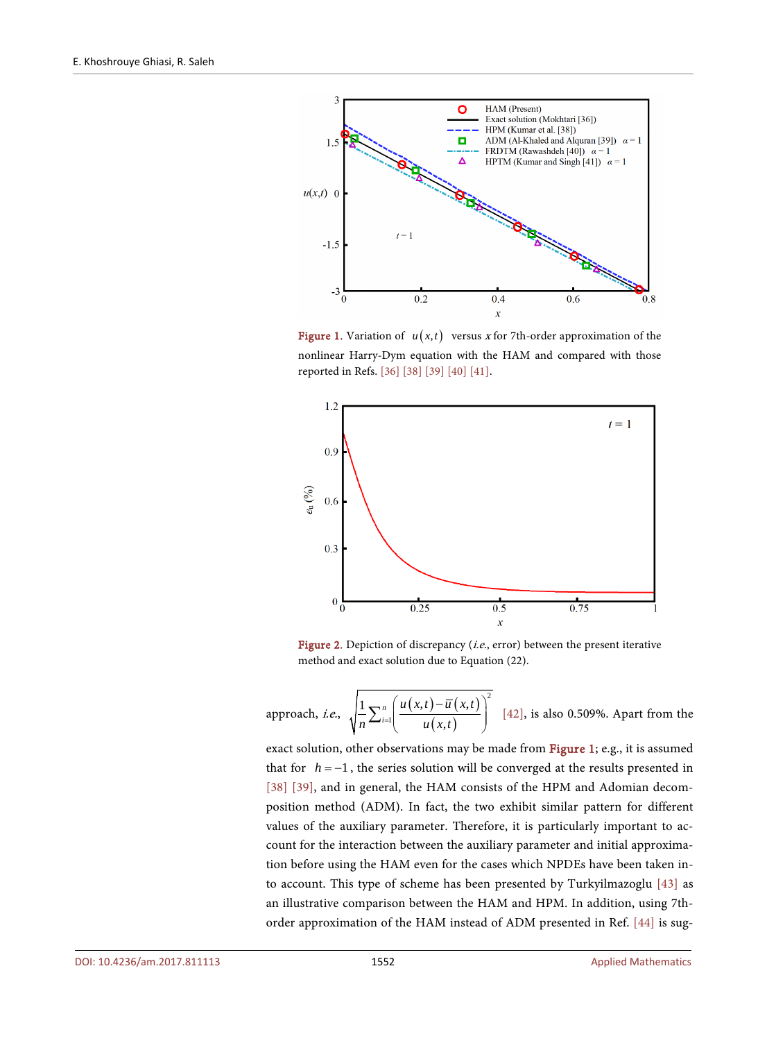<span id="page-6-0"></span>

**Figure 1.** Variation of  $u(x,t)$  versus x for 7th-order approximation of the nonlinear Harry-Dym equation with the HAM and compared with those reported in Refs[. \[36\]](#page-12-12) [\[38\]](#page-12-14) [\[39\]](#page-13-0) [\[40\]](#page-13-1) [\[41\].](#page-13-2)

<span id="page-6-1"></span>

Figure 2. Depiction of discrepancy (*i.e.*, error) between the present iterative method and exact solution due to Equation (22).

approach, *i.e.*,  $\sqrt{\frac{1}{n} \sum_{i=1}^{n} \left( \frac{u(x,t) - \overline{u}(x,t)}{u(x,t)} \right)}$ 2 1  $1_{\sum_{n} u}(u(x,t)-\overline{u}(x,t))$ , *n i*  $u(x,t)-\overline{u}(x,t)$  $\frac{1}{n} \sum_{i=1}^{n} \left( \frac{u(x,t) - \overline{u}(x,t)}{u(x,t)} \right)^2$  [\[42\],](#page-13-3) is also 0.509%. Apart from the

exact solution, other observations may be made fro[m Figure 1;](#page-6-0) e.g., it is assumed that for  $h = -1$ , the series solution will be converged at the results presented in [\[38\]](#page-12-14) [\[39\],](#page-13-0) and in general, the HAM consists of the HPM and Adomian decomposition method (ADM). In fact, the two exhibit similar pattern for different values of the auxiliary parameter. Therefore, it is particularly important to account for the interaction between the auxiliary parameter and initial approximation before using the HAM even for the cases which NPDEs have been taken into account. This type of scheme has been presented by Turkyilmazoglu [\[43\]](#page-13-4) as an illustrative comparison between the HAM and HPM. In addition, using 7thorder approximation of the HAM instead of ADM presented in Ref. [\[44\]](#page-13-5) is sug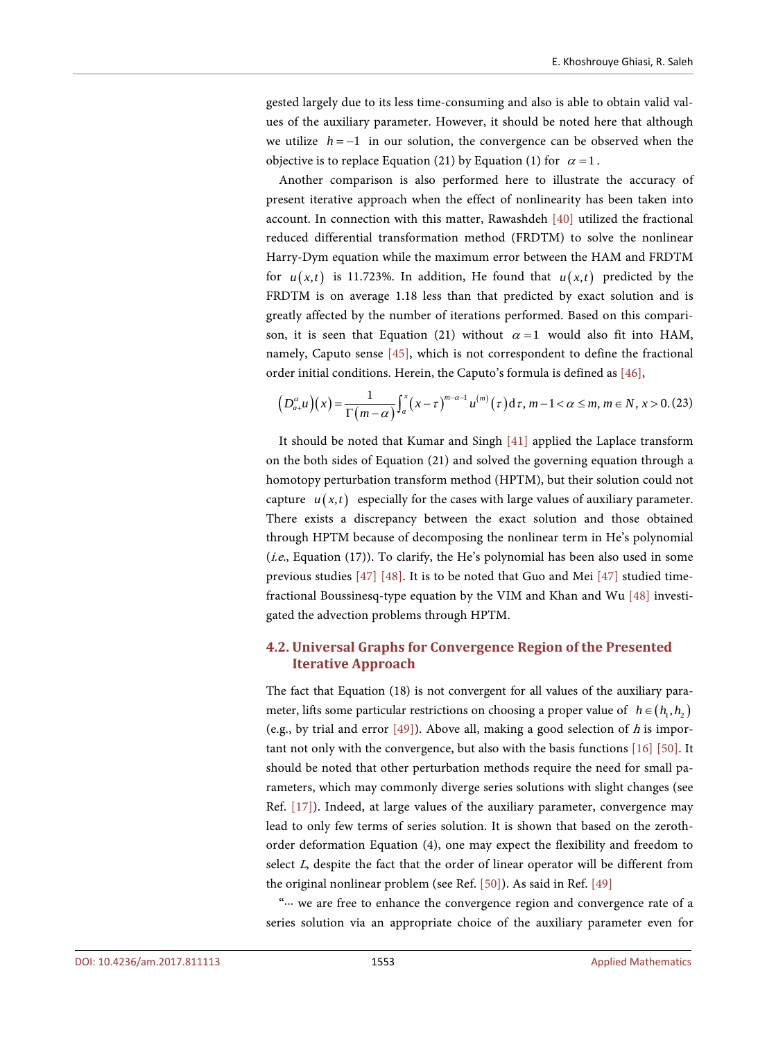gested largely due to its less time-consuming and also is able to obtain valid values of the auxiliary parameter. However, it should be noted here that although we utilize *h* = −1 in our solution, the convergence can be observed when the objective is to replace Equation (21) by Equation (1) for  $\alpha = 1$ .

Another comparison is also performed here to illustrate the accuracy of present iterative approach when the effect of nonlinearity has been taken into account. In connection with this matter, Rawashdeh [\[40\]](#page-13-1) utilized the fractional reduced differential transformation method (FRDTM) to solve the nonlinear Harry-Dym equation while the maximum error between the HAM and FRDTM for  $u(x,t)$  is 11.723%. In addition, He found that  $u(x,t)$  predicted by the FRDTM is on average 1.18 less than that predicted by exact solution and is greatly affected by the number of iterations performed. Based on this comparison, it is seen that Equation (21) without  $\alpha = 1$  would also fit into HAM, namely, Caputo sense [\[45\],](#page-13-6) which is not correspondent to define the fractional order initial conditions. Herein, the Caputo's formula is defined as [\[46\],](#page-13-7)

$$
\left(D_{a+}^{\alpha}u\right)\left(x\right)=\frac{1}{\Gamma\left(m-\alpha\right)}\int_a^x\left(x-\tau\right)^{m-\alpha-1}u^{(m)}\left(\tau\right)\mathrm{d}\tau, m-1<\alpha\leq m, m\in\mathbb{N}, x>0. (23)
$$

It should be noted that Kumar and Singh [\[41\]](#page-13-2) applied the Laplace transform on the both sides of Equation (21) and solved the governing equation through a homotopy perturbation transform method (HPTM), but their solution could not capture  $u(x,t)$  especially for the cases with large values of auxiliary parameter. There exists a discrepancy between the exact solution and those obtained through HPTM because of decomposing the nonlinear term in He's polynomial (*i.e.*, Equation (17)). To clarify, the He's polynomial has been also used in some previous studies [\[47\]](#page-13-8) [\[48\].](#page-13-9) It is to be noted that Guo and Mei [\[47\]](#page-13-8) studied timefractional Boussinesq-type equation by the VIM and Khan and Wu [\[48\]](#page-13-9) investigated the advection problems through HPTM.

## **4.2. Universal Graphs for Convergence Region of the Presented Iterative Approach**

The fact that Equation (18) is not convergent for all values of the auxiliary parameter, lifts some particular restrictions on choosing a proper value of  $h \in (h_1, h_2)$ (e.g., by trial and error  $[49]$ ). Above all, making a good selection of h is important not only with the convergence, but also with the basis functions [\[16\]](#page-11-12) [\[50\].](#page-13-11) It should be noted that other perturbation methods require the need for small parameters, which may commonly diverge series solutions with slight changes (see Ref. [\[17\]\)](#page-11-13). Indeed, at large values of the auxiliary parameter, convergence may lead to only few terms of series solution. It is shown that based on the zerothorder deformation Equation (4), one may expect the flexibility and freedom to select L, despite the fact that the order of linear operator will be different from the original nonlinear problem (see Ref[. \[50\]\)](#page-13-11). As said in Ref. [\[49\]](#page-13-10)

"∙∙∙ we are free to enhance the convergence region and convergence rate of a series solution via an appropriate choice of the auxiliary parameter even for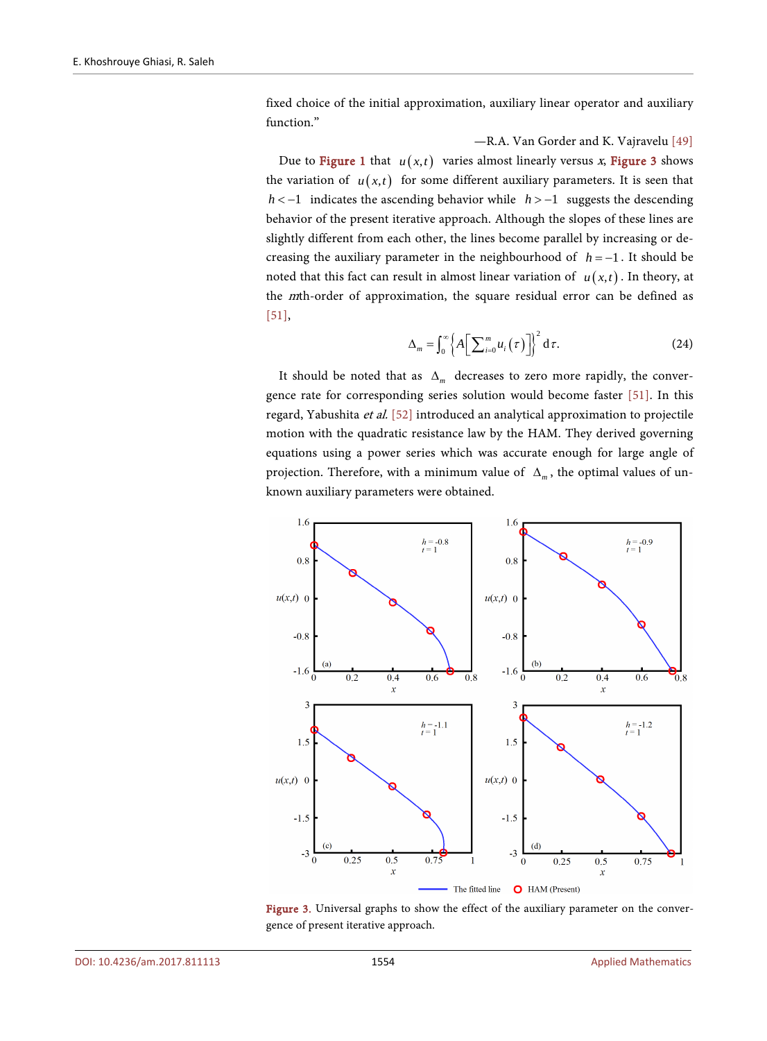fixed choice of the initial approximation, auxiliary linear operator and auxiliary function."

#### —R.A. Van Gorder and K. Vajravelu [\[49\]](#page-13-10)

Due to **Figure 1** that  $u(x,t)$  varies almost linearly versus x, **Figure 3** shows the variation of  $u(x,t)$  for some different auxiliary parameters. It is seen that *h* < −1 indicates the ascending behavior while *h* > −1 suggests the descending behavior of the present iterative approach. Although the slopes of these lines are slightly different from each other, the lines become parallel by increasing or decreasing the auxiliary parameter in the neighbourhood of  $h = -1$ . It should be noted that this fact can result in almost linear variation of  $u(x,t)$ . In theory, at the mth-order of approximation, the square residual error can be defined as [\[51\],](#page-13-12)

$$
\Delta_m = \int_0^\infty \left\{ A \left[ \sum_{i=0}^m u_i(\tau) \right] \right\}^2 d\tau.
$$
 (24)

It should be noted that as ∆*<sup>m</sup>* decreases to zero more rapidly, the convergence rate for corresponding series solution would become faster [\[51\].](#page-13-12) In this regard, Yabushita et al. [\[52\]](#page-13-13) introduced an analytical approximation to projectile motion with the quadratic resistance law by the HAM. They derived governing equations using a power series which was accurate enough for large angle of projection. Therefore, with a minimum value of ∆*<sup>m</sup>* , the optimal values of unknown auxiliary parameters were obtained.

<span id="page-8-0"></span>

Figure 3. Universal graphs to show the effect of the auxiliary parameter on the convergence of present iterative approach.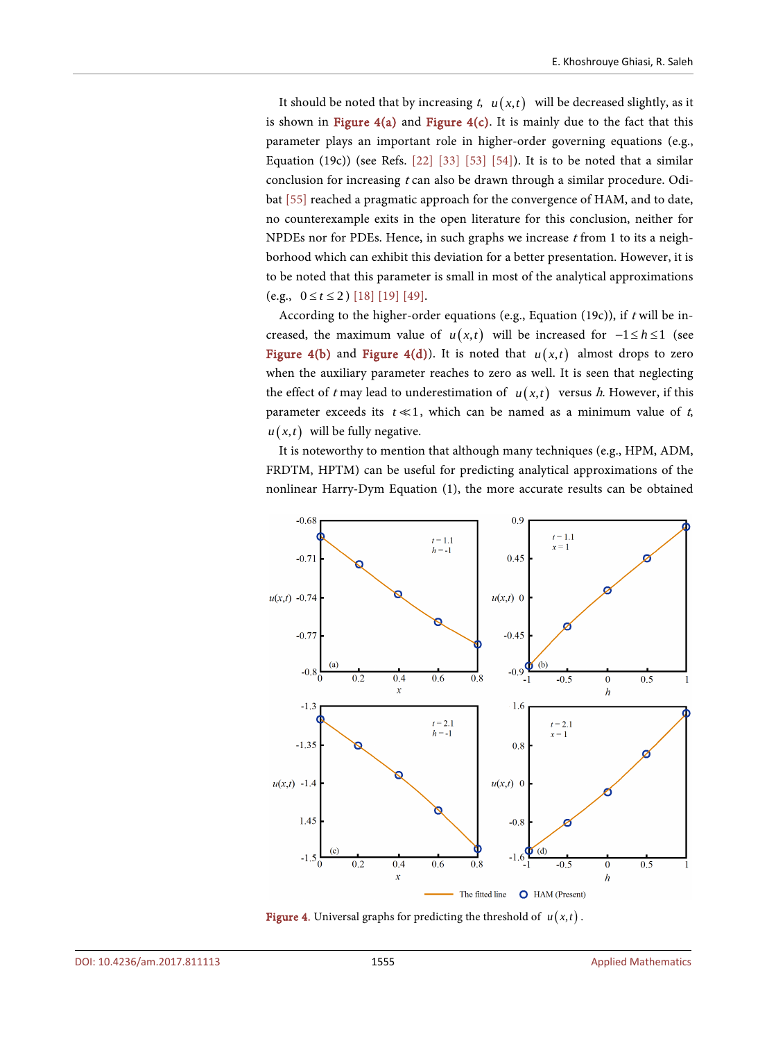It should be noted that by increasing  $t$ ,  $u(x,t)$  will be decreased slightly, as it is shown in Figure  $4(a)$  and Figure  $4(c)$ . It is mainly due to the fact that this parameter plays an important role in higher-order governing equations (e.g., Equation (19c)) (see Refs.  $[22]$   $[33]$   $[53]$   $[54]$ ). It is to be noted that a similar conclusion for increasing  $t$  can also be drawn through a similar procedure. Odibat [\[55\]](#page-14-1) reached a pragmatic approach for the convergence of HAM, and to date, no counterexample exits in the open literature for this conclusion, neither for NPDEs nor for PDEs. Hence, in such graphs we increase  $t$  from 1 to its a neighborhood which can exhibit this deviation for a better presentation. However, it is to be noted that this parameter is small in most of the analytical approximations (e.g.,  $0 \le t \le 2$ ) [\[18\]](#page-11-14) [\[19\]](#page-11-15) [\[49\].](#page-13-10)

According to the higher-order equations (e.g., Equation (19c)), if  $t$  will be increased, the maximum value of  $u(x,t)$  will be increased for  $-1 \le h \le 1$  (see [Figure 4\(b\)](#page-9-0) and [Figure 4\(d\)\)](#page-9-0). It is noted that  $u(x,t)$  almost drops to zero when the auxiliary parameter reaches to zero as well. It is seen that neglecting the effect of t may lead to underestimation of  $u(x,t)$  versus h. However, if this parameter exceeds its  $t \ll 1$ , which can be named as a minimum value of t,  $u(x,t)$  will be fully negative.

It is noteworthy to mention that although many techniques (e.g., HPM, ADM, FRDTM, HPTM) can be useful for predicting analytical approximations of the nonlinear Harry-Dym Equation (1), the more accurate results can be obtained

<span id="page-9-0"></span>

Figure 4. Universal graphs for predicting the threshold of  $u(x,t)$ .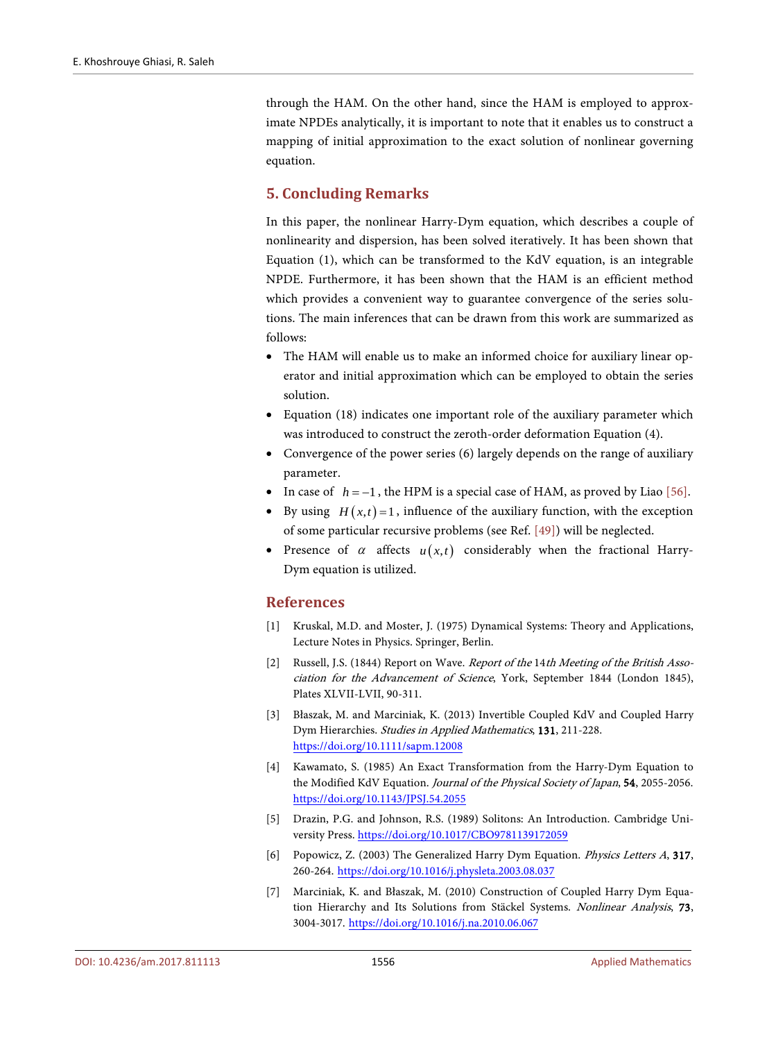through the HAM. On the other hand, since the HAM is employed to approximate NPDEs analytically, it is important to note that it enables us to construct a mapping of initial approximation to the exact solution of nonlinear governing equation.

# **5. Concluding Remarks**

In this paper, the nonlinear Harry-Dym equation, which describes a couple of nonlinearity and dispersion, has been solved iteratively. It has been shown that Equation (1), which can be transformed to the KdV equation, is an integrable NPDE. Furthermore, it has been shown that the HAM is an efficient method which provides a convenient way to guarantee convergence of the series solutions. The main inferences that can be drawn from this work are summarized as follows:

- The HAM will enable us to make an informed choice for auxiliary linear operator and initial approximation which can be employed to obtain the series solution.
- Equation (18) indicates one important role of the auxiliary parameter which was introduced to construct the zeroth-order deformation Equation (4).
- Convergence of the power series (6) largely depends on the range of auxiliary parameter.
- In case of *h* = −1 , the HPM is a special case of HAM, as proved by Liao [\[56\].](#page-14-2)
- By using  $H(x,t) = 1$ , influence of the auxiliary function, with the exception of some particular recursive problems (see Ref. [\[49\]\)](#page-13-10) will be neglected.
- Presence of  $\alpha$  affects  $u(x,t)$  considerably when the fractional Harry-Dym equation is utilized.

# **References**

- <span id="page-10-0"></span>[1] Kruskal, M.D. and Moster, J. (1975) Dynamical Systems: Theory and Applications, Lecture Notes in Physics. Springer, Berlin.
- <span id="page-10-1"></span>[2] Russell, J.S. (1844) Report on Wave. *Report of the 14th Meeting of the British Asso*ciation for the Advancement of Science, York, September 1844 (London 1845), Plates XLVII-LVII, 90-311.
- <span id="page-10-2"></span>[3] Błaszak, M. and Marciniak, K. (2013) Invertible Coupled KdV and Coupled Harry Dym Hierarchies. Studies in Applied Mathematics, 131, 211-228. <https://doi.org/10.1111/sapm.12008>
- <span id="page-10-3"></span>[4] Kawamato, S. (1985) An Exact Transformation from the Harry-Dym Equation to the Modified KdV Equation. Journal of the Physical Society of Japan, 54, 2055-2056. <https://doi.org/10.1143/JPSJ.54.2055>
- <span id="page-10-4"></span>[5] Drazin, P.G. and Johnson, R.S. (1989) Solitons: An Introduction. Cambridge University Press. <https://doi.org/10.1017/CBO9781139172059>
- <span id="page-10-5"></span>[6] Popowicz, Z. (2003) The Generalized Harry Dym Equation. Physics Letters A, 317, 260-264. <https://doi.org/10.1016/j.physleta.2003.08.037>
- <span id="page-10-6"></span>[7] Marciniak, K. and Błaszak, M. (2010) Construction of Coupled Harry Dym Equation Hierarchy and Its Solutions from Stäckel Systems. Nonlinear Analysis, 73, 3004-3017. <https://doi.org/10.1016/j.na.2010.06.067>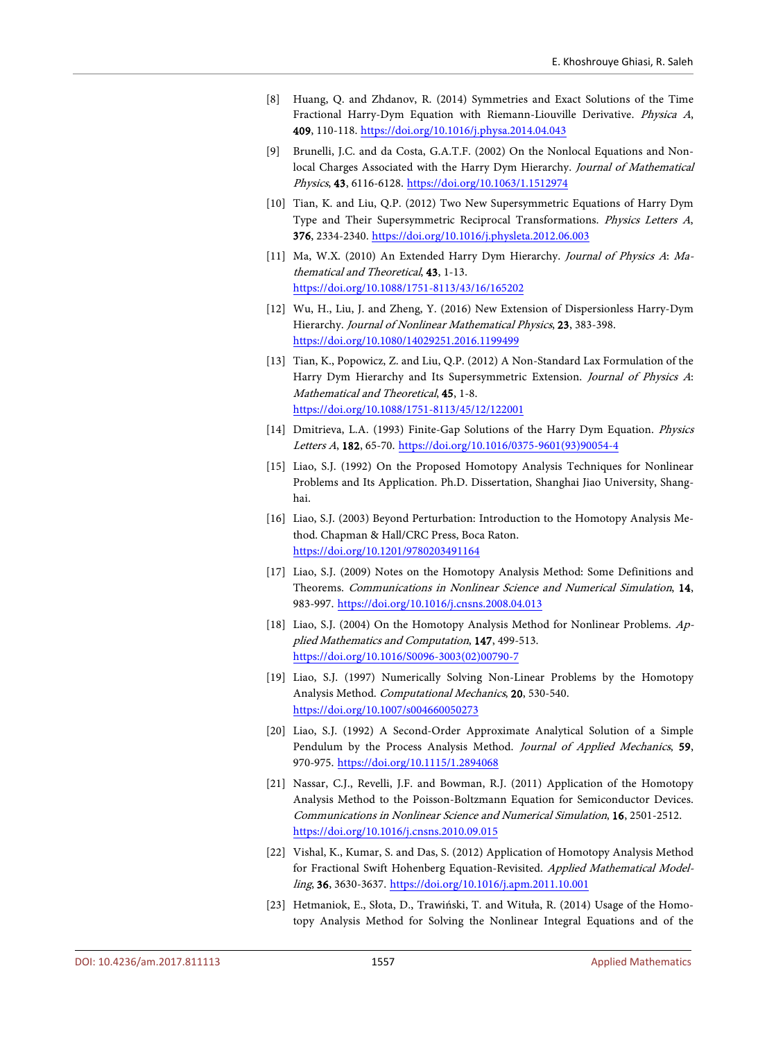- <span id="page-11-0"></span>[8] Huang, Q. and Zhdanov, R. (2014) Symmetries and Exact Solutions of the Time Fractional Harry-Dym Equation with Riemann-Liouville Derivative. Physica A, 409, 110-118. <https://doi.org/10.1016/j.physa.2014.04.043>
- <span id="page-11-1"></span>[9] Brunelli, J.C. and da Costa, G.A.T.F. (2002) On the Nonlocal Equations and Nonlocal Charges Associated with the Harry Dym Hierarchy. Journal of Mathematical Physics, 43, 6116-6128. <https://doi.org/10.1063/1.1512974>
- <span id="page-11-2"></span>[10] Tian, K. and Liu, Q.P. (2012) Two New Supersymmetric Equations of Harry Dym Type and Their Supersymmetric Reciprocal Transformations. Physics Letters A, 376, 2334-2340. <https://doi.org/10.1016/j.physleta.2012.06.003>
- <span id="page-11-3"></span>[11] Ma, W.X. (2010) An Extended Harry Dym Hierarchy. Journal of Physics A: Mathematical and Theoretical, 43, 1-13. <https://doi.org/10.1088/1751-8113/43/16/165202>
- <span id="page-11-4"></span>[12] Wu, H., Liu, J. and Zheng, Y. (2016) New Extension of Dispersionless Harry-Dym Hierarchy. Journal of Nonlinear Mathematical Physics, 23, 383-398. <https://doi.org/10.1080/14029251.2016.1199499>
- <span id="page-11-5"></span>[13] Tian, K., Popowicz, Z. and Liu, Q.P. (2012) A Non-Standard Lax Formulation of the Harry Dym Hierarchy and Its Supersymmetric Extension. Journal of Physics A: Mathematical and Theoretical, 45, 1-8. <https://doi.org/10.1088/1751-8113/45/12/122001>
- <span id="page-11-6"></span>[14] Dmitrieva, L.A. (1993) Finite-Gap Solutions of the Harry Dym Equation. Physics Letters A, 182, 65-70. [https://doi.org/10.1016/0375-9601\(93\)90054-4](https://doi.org/10.1016/0375-9601(93)90054-4)
- <span id="page-11-7"></span>[15] Liao, S.J. (1992) On the Proposed Homotopy Analysis Techniques for Nonlinear Problems and Its Application. Ph.D. Dissertation, Shanghai Jiao University, Shanghai.
- <span id="page-11-12"></span>[16] Liao, S.J. (2003) Beyond Perturbation: Introduction to the Homotopy Analysis Method. Chapman & Hall/CRC Press, Boca Raton. <https://doi.org/10.1201/9780203491164>
- <span id="page-11-13"></span>[17] Liao, S.J. (2009) Notes on the Homotopy Analysis Method: Some Definitions and Theorems. Communications in Nonlinear Science and Numerical Simulation, 14, 983-997. <https://doi.org/10.1016/j.cnsns.2008.04.013>
- <span id="page-11-14"></span>[18] Liao, S.J. (2004) On the Homotopy Analysis Method for Nonlinear Problems. Applied Mathematics and Computation, 147, 499-513. [https://doi.org/10.1016/S0096-3003\(02\)00790-7](https://doi.org/10.1016/S0096-3003(02)00790-7)
- <span id="page-11-15"></span>[19] Liao, S.J. (1997) Numerically Solving Non-Linear Problems by the Homotopy Analysis Method. Computational Mechanics, 20, 530-540. <https://doi.org/10.1007/s004660050273>
- <span id="page-11-8"></span>[20] Liao, S.J. (1992) A Second-Order Approximate Analytical Solution of a Simple Pendulum by the Process Analysis Method. Journal of Applied Mechanics, 59, 970-975. <https://doi.org/10.1115/1.2894068>
- <span id="page-11-9"></span>[21] Nassar, C.J., Revelli, J.F. and Bowman, R.J. (2011) Application of the Homotopy Analysis Method to the Poisson-Boltzmann Equation for Semiconductor Devices. Communications in Nonlinear Science and Numerical Simulation, 16, 2501-2512. <https://doi.org/10.1016/j.cnsns.2010.09.015>
- <span id="page-11-10"></span>[22] Vishal, K., Kumar, S. and Das, S. (2012) Application of Homotopy Analysis Method for Fractional Swift Hohenberg Equation-Revisited. Applied Mathematical Modelling, 36, 3630-3637. <https://doi.org/10.1016/j.apm.2011.10.001>
- <span id="page-11-11"></span>[23] Hetmaniok, E., Słota, D., Trawiński, T. and Wituła, R. (2014) Usage of the Homotopy Analysis Method for Solving the Nonlinear Integral Equations and of the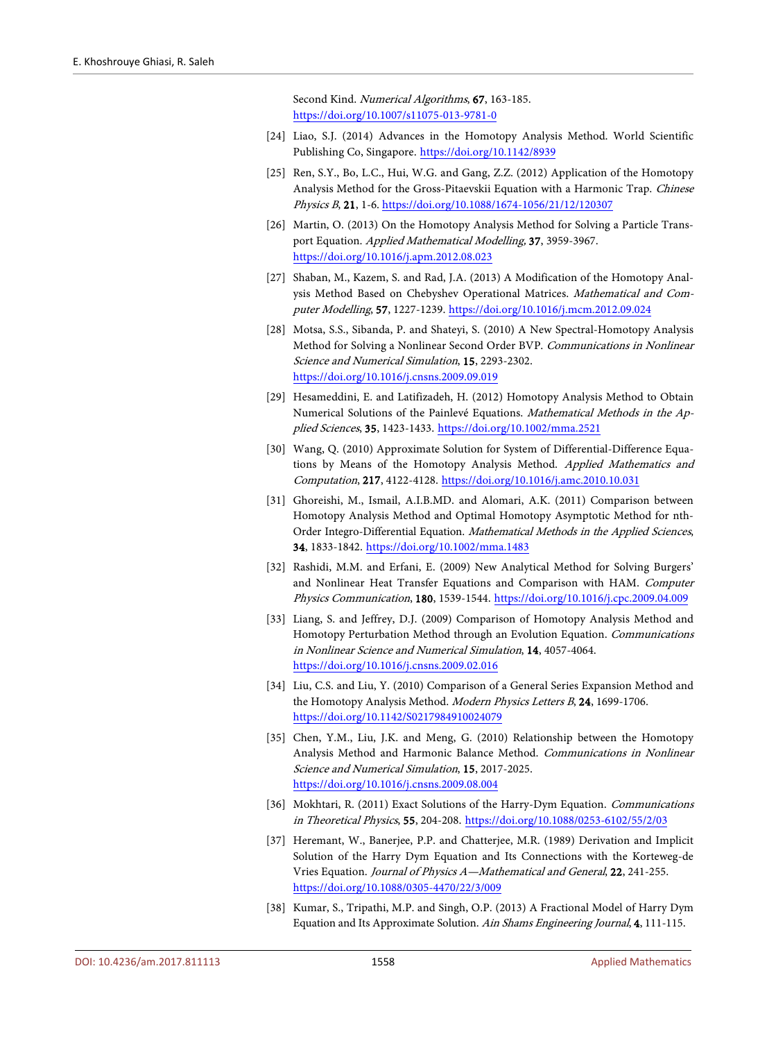Second Kind. Numerical Algorithms, 67, 163-185. <https://doi.org/10.1007/s11075-013-9781-0>

- <span id="page-12-0"></span>[24] Liao, S.J. (2014) Advances in the Homotopy Analysis Method. World Scientific Publishing Co, Singapore. <https://doi.org/10.1142/8939>
- <span id="page-12-1"></span>[25] Ren, S.Y., Bo, L.C., Hui, W.G. and Gang, Z.Z. (2012) Application of the Homotopy Analysis Method for the Gross-Pitaevskii Equation with a Harmonic Trap. Chinese Physics B, 21, 1-6. <https://doi.org/10.1088/1674-1056/21/12/120307>
- <span id="page-12-2"></span>[26] Martin, O. (2013) On the Homotopy Analysis Method for Solving a Particle Transport Equation. Applied Mathematical Modelling, 37, 3959-3967. <https://doi.org/10.1016/j.apm.2012.08.023>
- <span id="page-12-3"></span>[27] Shaban, M., Kazem, S. and Rad, J.A. (2013) A Modification of the Homotopy Analysis Method Based on Chebyshev Operational Matrices. Mathematical and Computer Modelling, 57, 1227-1239. <https://doi.org/10.1016/j.mcm.2012.09.024>
- <span id="page-12-4"></span>[28] Motsa, S.S., Sibanda, P. and Shateyi, S. (2010) A New Spectral-Homotopy Analysis Method for Solving a Nonlinear Second Order BVP. Communications in Nonlinear Science and Numerical Simulation, 15, 2293-2302. <https://doi.org/10.1016/j.cnsns.2009.09.019>
- <span id="page-12-5"></span>[29] Hesameddini, E. and Latifizadeh, H. (2012) Homotopy Analysis Method to Obtain Numerical Solutions of the Painlevé Equations. Mathematical Methods in the Applied Sciences, 35, 1423-1433. <https://doi.org/10.1002/mma.2521>
- <span id="page-12-6"></span>[30] Wang, Q. (2010) Approximate Solution for System of Differential-Difference Equations by Means of the Homotopy Analysis Method. Applied Mathematics and Computation, 217, 4122-4128. <https://doi.org/10.1016/j.amc.2010.10.031>
- <span id="page-12-7"></span>[31] Ghoreishi, M., Ismail, A.I.B.MD. and Alomari, A.K. (2011) Comparison between Homotopy Analysis Method and Optimal Homotopy Asymptotic Method for nth-Order Integro-Differential Equation. Mathematical Methods in the Applied Sciences, 34, 1833-1842. <https://doi.org/10.1002/mma.1483>
- <span id="page-12-8"></span>[32] Rashidi, M.M. and Erfani, E. (2009) New Analytical Method for Solving Burgers' and Nonlinear Heat Transfer Equations and Comparison with HAM. Computer Physics Communication, 180, 1539-1544. <https://doi.org/10.1016/j.cpc.2009.04.009>
- <span id="page-12-9"></span>[33] Liang, S. and Jeffrey, D.J. (2009) Comparison of Homotopy Analysis Method and Homotopy Perturbation Method through an Evolution Equation. Communications in Nonlinear Science and Numerical Simulation, 14, 4057-4064. <https://doi.org/10.1016/j.cnsns.2009.02.016>
- <span id="page-12-10"></span>[34] Liu, C.S. and Liu, Y. (2010) Comparison of a General Series Expansion Method and the Homotopy Analysis Method. Modern Physics Letters B, 24, 1699-1706. <https://doi.org/10.1142/S0217984910024079>
- <span id="page-12-11"></span>[35] Chen, Y.M., Liu, J.K. and Meng, G. (2010) Relationship between the Homotopy Analysis Method and Harmonic Balance Method. Communications in Nonlinear Science and Numerical Simulation, 15, 2017-2025. <https://doi.org/10.1016/j.cnsns.2009.08.004>
- <span id="page-12-12"></span>[36] Mokhtari, R. (2011) Exact Solutions of the Harry-Dym Equation. Communications in Theoretical Physics, 55, 204-208. <https://doi.org/10.1088/0253-6102/55/2/03>
- <span id="page-12-13"></span>[37] Heremant, W., Banerjee, P.P. and Chatterjee, M.R. (1989) Derivation and Implicit Solution of the Harry Dym Equation and Its Connections with the Korteweg-de Vries Equation. Journal of Physics A—Mathematical and General, 22, 241-255. <https://doi.org/10.1088/0305-4470/22/3/009>
- <span id="page-12-14"></span>[38] Kumar, S., Tripathi, M.P. and Singh, O.P. (2013) A Fractional Model of Harry Dym Equation and Its Approximate Solution. Ain Shams Engineering Journal, 4, 111-115.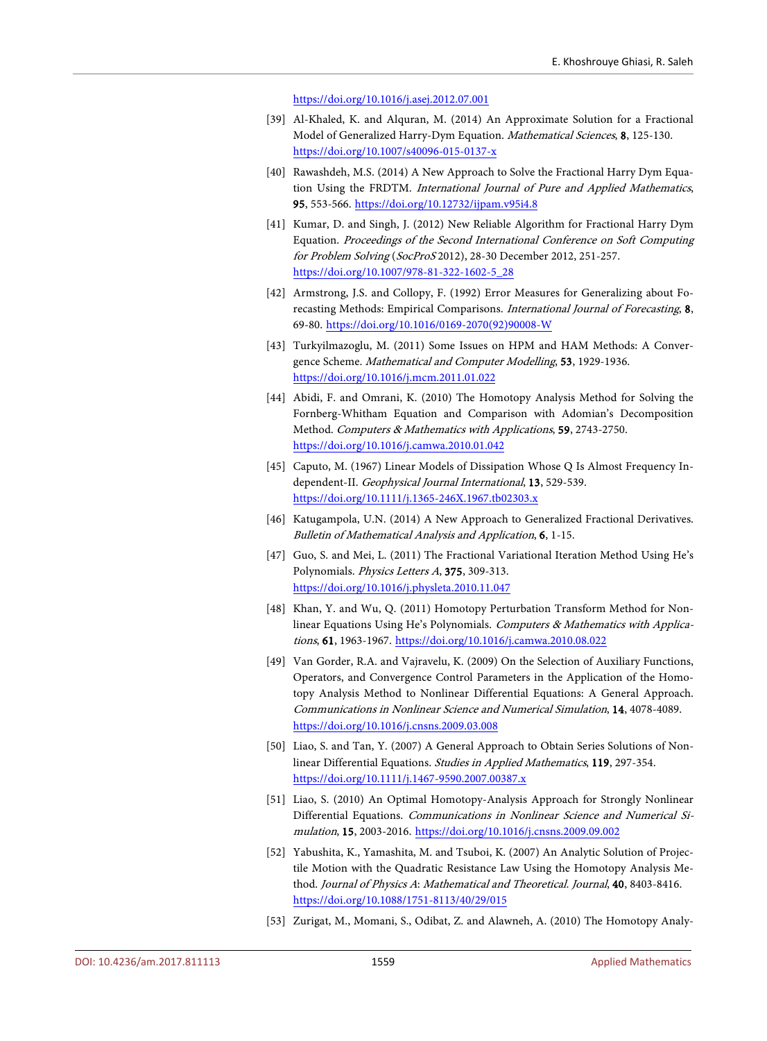<https://doi.org/10.1016/j.asej.2012.07.001>

- <span id="page-13-0"></span>[39] Al-Khaled, K. and Alquran, M. (2014) An Approximate Solution for a Fractional Model of Generalized Harry-Dym Equation. Mathematical Sciences, 8, 125-130. <https://doi.org/10.1007/s40096-015-0137-x>
- <span id="page-13-1"></span>[40] Rawashdeh, M.S. (2014) A New Approach to Solve the Fractional Harry Dym Equation Using the FRDTM. International Journal of Pure and Applied Mathematics, 95, 553-566. <https://doi.org/10.12732/ijpam.v95i4.8>
- <span id="page-13-2"></span>[41] Kumar, D. and Singh, J. (2012) New Reliable Algorithm for Fractional Harry Dym Equation. Proceedings of the Second International Conference on Soft Computing for Problem Solving (SocProS 2012), 28-30 December 2012, 251-257. [https://doi.org/10.1007/978-81-322-1602-5\\_28](https://doi.org/10.1007/978-81-322-1602-5_28)
- <span id="page-13-3"></span>[42] Armstrong, J.S. and Collopy, F. (1992) Error Measures for Generalizing about Forecasting Methods: Empirical Comparisons. International Journal of Forecasting, 8, 69-80. [https://doi.org/10.1016/0169-2070\(92\)90008-W](https://doi.org/10.1016/0169-2070(92)90008-W)
- <span id="page-13-4"></span>[43] Turkyilmazoglu, M. (2011) Some Issues on HPM and HAM Methods: A Convergence Scheme. Mathematical and Computer Modelling, 53, 1929-1936. <https://doi.org/10.1016/j.mcm.2011.01.022>
- <span id="page-13-5"></span>[44] Abidi, F. and Omrani, K. (2010) The Homotopy Analysis Method for Solving the Fornberg-Whitham Equation and Comparison with Adomian's Decomposition Method. Computers & Mathematics with Applications, 59, 2743-2750. <https://doi.org/10.1016/j.camwa.2010.01.042>
- <span id="page-13-6"></span>[45] Caputo, M. (1967) Linear Models of Dissipation Whose Q Is Almost Frequency Independent-II. Geophysical Journal International, 13, 529-539. <https://doi.org/10.1111/j.1365-246X.1967.tb02303.x>
- <span id="page-13-7"></span>[46] Katugampola, U.N. (2014) A New Approach to Generalized Fractional Derivatives. Bulletin of Mathematical Analysis and Application, 6, 1-15.
- <span id="page-13-8"></span>[47] Guo, S. and Mei, L. (2011) The Fractional Variational Iteration Method Using He's Polynomials. Physics Letters A, 375, 309-313. <https://doi.org/10.1016/j.physleta.2010.11.047>
- <span id="page-13-9"></span>[48] Khan, Y. and Wu, Q. (2011) Homotopy Perturbation Transform Method for Nonlinear Equations Using He's Polynomials. Computers & Mathematics with Applications, 61, 1963-1967. <https://doi.org/10.1016/j.camwa.2010.08.022>
- <span id="page-13-10"></span>[49] Van Gorder, R.A. and Vajravelu, K. (2009) On the Selection of Auxiliary Functions, Operators, and Convergence Control Parameters in the Application of the Homotopy Analysis Method to Nonlinear Differential Equations: A General Approach. Communications in Nonlinear Science and Numerical Simulation, 14, 4078-4089. <https://doi.org/10.1016/j.cnsns.2009.03.008>
- <span id="page-13-11"></span>[50] Liao, S. and Tan, Y. (2007) A General Approach to Obtain Series Solutions of Nonlinear Differential Equations. Studies in Applied Mathematics, 119, 297-354. <https://doi.org/10.1111/j.1467-9590.2007.00387.x>
- <span id="page-13-12"></span>[51] Liao, S. (2010) An Optimal Homotopy-Analysis Approach for Strongly Nonlinear Differential Equations. Communications in Nonlinear Science and Numerical Simulation, 15, 2003-2016. <https://doi.org/10.1016/j.cnsns.2009.09.002>
- <span id="page-13-13"></span>[52] Yabushita, K., Yamashita, M. and Tsuboi, K. (2007) An Analytic Solution of Projectile Motion with the Quadratic Resistance Law Using the Homotopy Analysis Method. Journal of Physics A: Mathematical and Theoretical. Journal, 40, 8403-8416. <https://doi.org/10.1088/1751-8113/40/29/015>
- <span id="page-13-14"></span>[53] Zurigat, M., Momani, S., Odibat, Z. and Alawneh, A. (2010) The Homotopy Analy-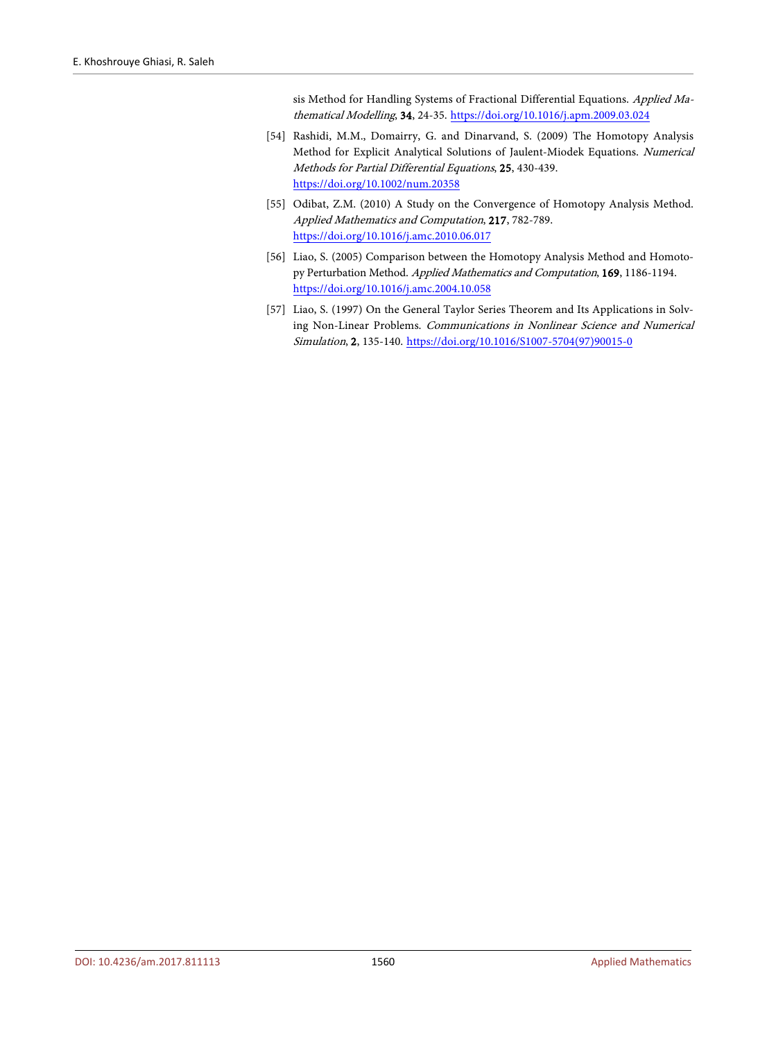sis Method for Handling Systems of Fractional Differential Equations. Applied Mathematical Modelling, 34, 24-35. <https://doi.org/10.1016/j.apm.2009.03.024>

- <span id="page-14-0"></span>[54] Rashidi, M.M., Domairry, G. and Dinarvand, S. (2009) The Homotopy Analysis Method for Explicit Analytical Solutions of Jaulent-Miodek Equations. Numerical Methods for Partial Differential Equations, 25, 430-439. <https://doi.org/10.1002/num.20358>
- <span id="page-14-1"></span>[55] Odibat, Z.M. (2010) A Study on the Convergence of Homotopy Analysis Method. Applied Mathematics and Computation, 217, 782-789. <https://doi.org/10.1016/j.amc.2010.06.017>
- <span id="page-14-2"></span>[56] Liao, S. (2005) Comparison between the Homotopy Analysis Method and Homotopy Perturbation Method. Applied Mathematics and Computation, 169, 1186-1194. <https://doi.org/10.1016/j.amc.2004.10.058>
- <span id="page-14-3"></span>[57] Liao, S. (1997) On the General Taylor Series Theorem and Its Applications in Solving Non-Linear Problems. Communications in Nonlinear Science and Numerical Simulation, 2, 135-140. [https://doi.org/10.1016/S1007-5704\(97\)90015-0](https://doi.org/10.1016/S1007-5704(97)90015-0)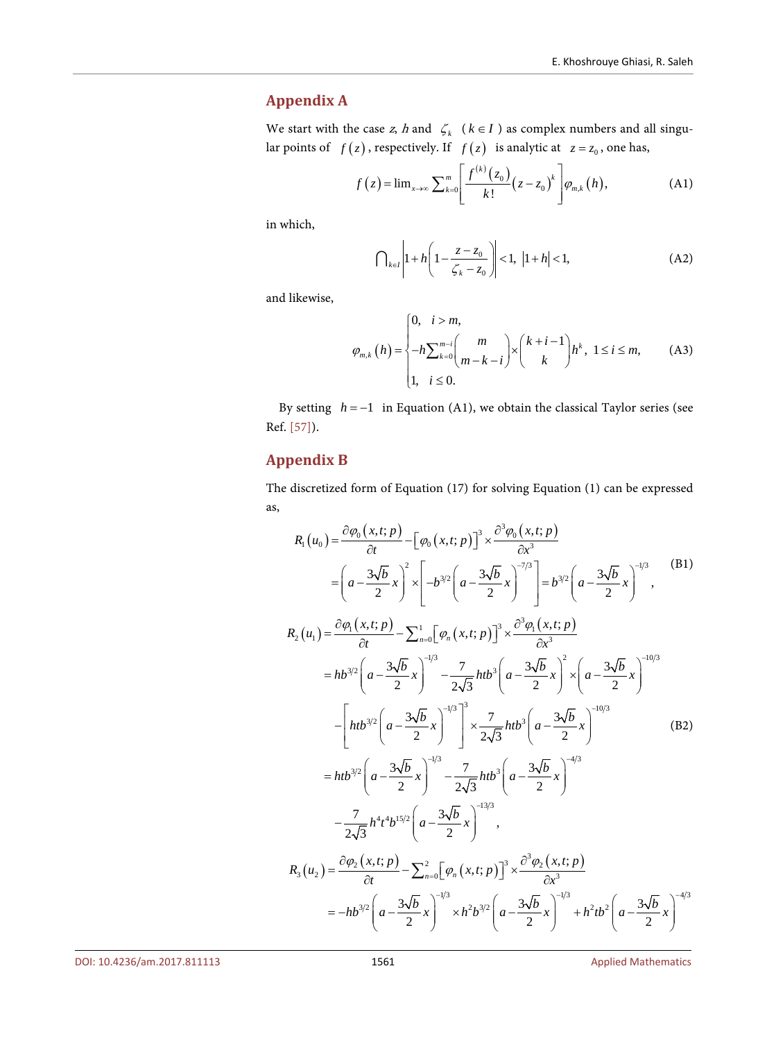# <span id="page-15-0"></span>**Appendix A**

We start with the case z, h and  $\zeta_k$  ( $k \in I$ ) as complex numbers and all singular points of  $f(z)$ , respectively. If  $f(z)$  is analytic at  $z = z_0$ , one has,

$$
f(z) = \lim_{x \to \infty} \sum_{k=0}^{m} \left[ \frac{f^{(k)}(z_0)}{k!} (z - z_0)^k \right] \varphi_{m,k}(h), \tag{A1}
$$

in which,

$$
\bigcap_{k \in I} \left| 1 + h \left( 1 - \frac{z - z_0}{\zeta_k - z_0} \right) \right| < 1, \ |1 + h| < 1,\tag{A2}
$$

and likewise,

$$
\varphi_{m,k}(h) = \begin{cases}\n0, & i > m, \\
-h \sum_{k=0}^{m-i} {m \choose m-k-i} \times {k+i-1 \choose k} h^k, & 1 \le i \le m, \\
1, & i \le 0.\n\end{cases}
$$
(A3)

By setting *h* = −1 in Equation (A1), we obtain the classical Taylor series (see Ref. [\[57\]\)](#page-14-3).

# <span id="page-15-1"></span>**Appendix B**

The discretized form of Equation (17) for solving Equation (1) can be expressed as,

$$
R_{1}(u_{0}) = \frac{\partial \phi_{0}(x, t; p)}{\partial t} - [\phi_{0}(x, t; p)]^{3} \times \frac{\partial^{3} \phi_{0}(x, t; p)}{\partial x^{3}}
$$
\n
$$
= \left(a - \frac{3\sqrt{b}}{2}x\right)^{2} \times \left[-b^{3/2}\left(a - \frac{3\sqrt{b}}{2}x\right)^{-7/3}\right] = b^{3/2}\left(a - \frac{3\sqrt{b}}{2}x\right)^{-1/3},
$$
\n(B1)\n
$$
R_{2}(u_{1}) = \frac{\partial \phi_{1}(x, t; p)}{\partial t} - \sum_{n=0}^{1} [\phi_{n}(x, t; p)]^{3} \times \frac{\partial^{3} \phi_{1}(x, t; p)}{\partial x^{3}}
$$
\n
$$
= hb^{3/2}\left(a - \frac{3\sqrt{b}}{2}x\right)^{-1/3} - \frac{7}{2\sqrt{3}} htb^{3}\left(a - \frac{3\sqrt{b}}{2}x\right)^{2} \times \left(a - \frac{3\sqrt{b}}{2}x\right)^{-10/3}
$$
\n
$$
- \left[ htb^{3/2}\left(a - \frac{3\sqrt{b}}{2}x\right)^{-1/3}\right]^{3} \times \frac{7}{2\sqrt{3}} htb^{3}\left(a - \frac{3\sqrt{b}}{2}x\right)^{-10/3}
$$
\n
$$
= ht^{3/2}\left(a - \frac{3\sqrt{b}}{2}x\right)^{-1/3} - \frac{7}{2\sqrt{3}} htb^{3}\left(a - \frac{3\sqrt{b}}{2}x\right)^{-4/3}
$$
\n
$$
- \frac{7}{2\sqrt{3}} h^{4}t^{4}b^{15/2}\left(a - \frac{3\sqrt{b}}{2}x\right)^{-1/3},
$$
\n
$$
R_{3}(u_{2}) = \frac{\partial \phi_{2}(x, t; p)}{\partial t} - \sum_{n=0}^{2} [\phi_{n}(x, t; p)]^{3} \times \frac{\partial^{3} \phi_{2}(x, t; p)}{\partial x^{3}}
$$
\n
$$
= -hb^{3/2}\left(a - \frac{3\sqrt{b}}{2}x\right)^{-1/3} \times h^{2}b^{3/2}\left(a - \frac{3\sqrt{b}}{2
$$

DOI[: 10.4236/am.2017.811113](https://doi.org/10.4236/am.2017.811113) 1561 1561 1561 1561 Applied Mathematics